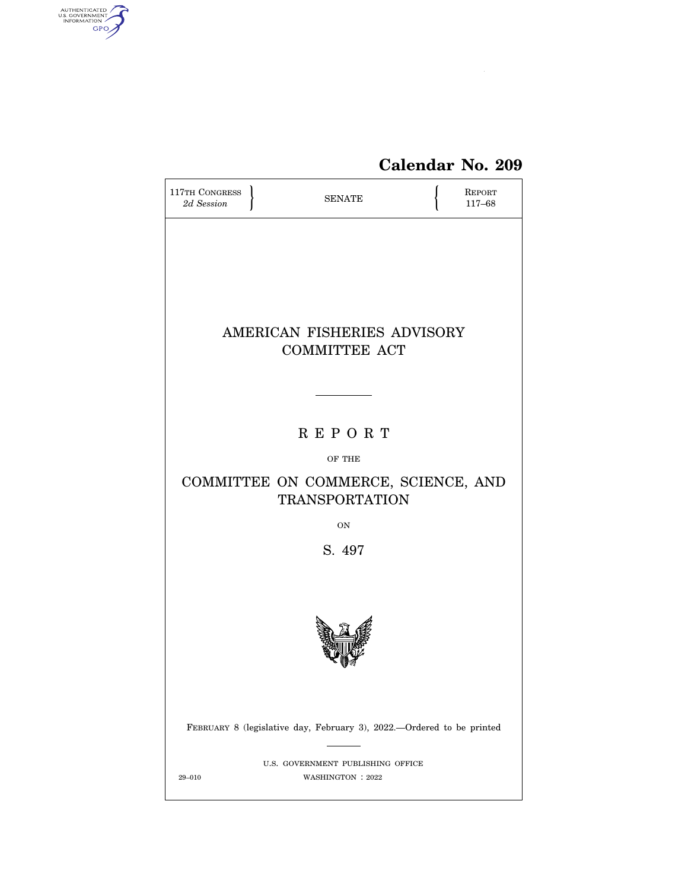

# **Calendar No. 209**

| 117TH CONGRESS<br>2d Session | <b>SENATE</b>                                                         | REPORT<br>117-68 |
|------------------------------|-----------------------------------------------------------------------|------------------|
|                              |                                                                       |                  |
|                              |                                                                       |                  |
|                              |                                                                       |                  |
|                              | AMERICAN FISHERIES ADVISORY<br><b>COMMITTEE ACT</b>                   |                  |
|                              |                                                                       |                  |
|                              |                                                                       |                  |
|                              | <b>REPORT</b>                                                         |                  |
|                              | OF THE                                                                |                  |
|                              | COMMITTEE ON COMMERCE, SCIENCE, AND<br><b>TRANSPORTATION</b>          |                  |
|                              | <b>ON</b>                                                             |                  |
|                              | S. 497                                                                |                  |
|                              |                                                                       |                  |
|                              |                                                                       |                  |
|                              | FEBRUARY 8 (legislative day, February 3), 2022.—Ordered to be printed |                  |
| $29 - 010$                   | U.S. GOVERNMENT PUBLISHING OFFICE<br>WASHINGTON: 2022                 |                  |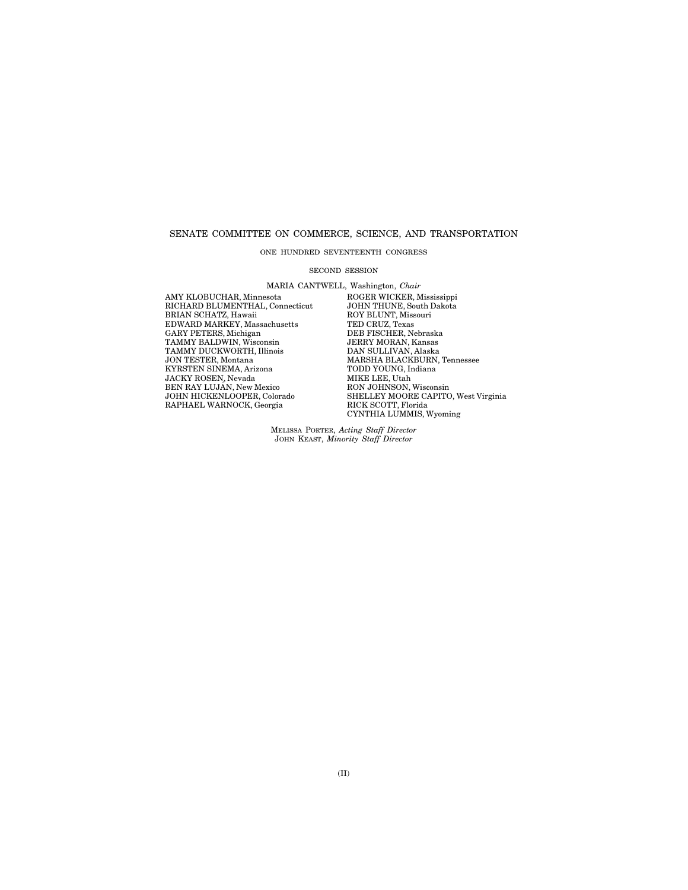## SENATE COMMITTEE ON COMMERCE, SCIENCE, AND TRANSPORTATION

# ONE HUNDRED SEVENTEENTH CONGRESS

#### SECOND SESSION

MARIA CANTWELL, Washington, *Chair* 

RICHARD BLUMENTHAL, Connecticut JOHN THUNE, South I<br>BRIAN SCHATZ, Hawaii ROY BLUNT, Missouri BRIAN SCHATZ, Hawaii ROY BLUNT, Miss<br>EDWARD MARKEY, Massachusetts TED CRUZ, Texas EDWARD MARKEY, Massachusetts TED CRUZ, Texas GARY PETERS, Michigan DEB FISCHER, Nebraska TAMMY BALDWIN, Wisconsin JERRY MORAN, Kansas GARY PETERS, Michigan DEB FISCHER, Nebraska TAMMY BALDWIN, Wisconsin JERRY MORAN, Kansas TAMMY DUCKWORTH, Illinois **DAN SULLIVAN, Alaska JON TESTER, Montana** MARSHA BLACKBURN, KYRSTEN SINEMA, Arizona TODD YOUNG, I<br/>n $\,$  JACKY ROSEN, Nevada $\,$  MIKE LEE, Utah JACKY ROSEN, Nevada BEN RAY LUJÁN, New Mexico<br>JOHN HICKENLOOPER, Colorado RAPHAEL WARNOCK, Georgia

AMY KLOBUCHAR, Minnesota ROGER WICKER, Mississippi MARSHA BLACKBURN, Tennessee<br>TODD YOUNG, Indiana MIAE LEE, UGAN<br>RON JOHN SON, Wisconsin<br>SHELLEY MOORE CAPITO, West Virginia<br>RICK SCOTT, Florida CYNTHIA LUMMIS, Wyoming

> MELISSA PORTER, *Acting Staff Director*  JOHN KEAST, *Minority Staff Director*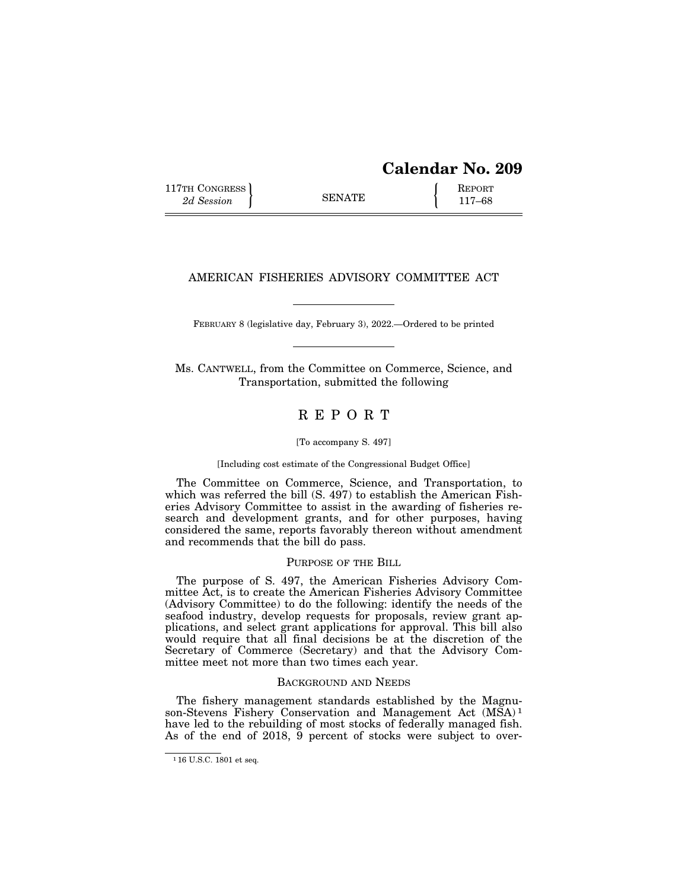117TH CONGRESS **REPORT** 2d Session **117–68** 

# AMERICAN FISHERIES ADVISORY COMMITTEE ACT

FEBRUARY 8 (legislative day, February 3), 2022.—Ordered to be printed

Ms. CANTWELL, from the Committee on Commerce, Science, and Transportation, submitted the following

# R E P O R T

#### [To accompany S. 497]

#### [Including cost estimate of the Congressional Budget Office]

The Committee on Commerce, Science, and Transportation, to which was referred the bill (S. 497) to establish the American Fisheries Advisory Committee to assist in the awarding of fisheries research and development grants, and for other purposes, having considered the same, reports favorably thereon without amendment and recommends that the bill do pass.

# PURPOSE OF THE BILL

The purpose of S. 497, the American Fisheries Advisory Committee Act, is to create the American Fisheries Advisory Committee (Advisory Committee) to do the following: identify the needs of the seafood industry, develop requests for proposals, review grant applications, and select grant applications for approval. This bill also would require that all final decisions be at the discretion of the Secretary of Commerce (Secretary) and that the Advisory Committee meet not more than two times each year.

#### BACKGROUND AND NEEDS

The fishery management standards established by the Magnuson-Stevens Fishery Conservation and Management Act (MSA)<sup>1</sup> have led to the rebuilding of most stocks of federally managed fish. As of the end of 2018,  $\overline{9}$  percent of stocks were subject to over-

<sup>1</sup> 16 U.S.C. 1801 et seq.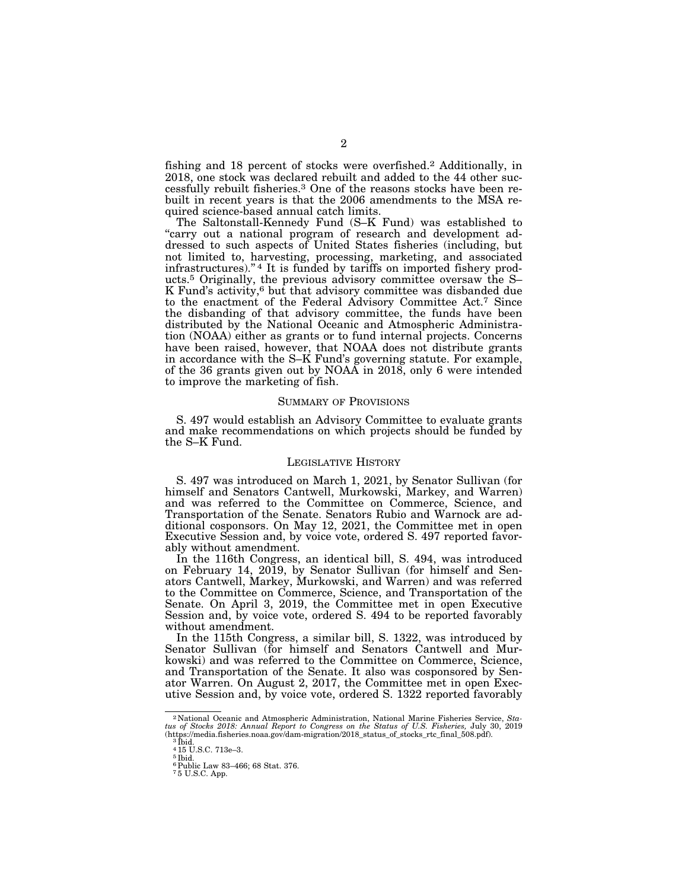fishing and 18 percent of stocks were overfished.2 Additionally, in 2018, one stock was declared rebuilt and added to the 44 other successfully rebuilt fisheries.3 One of the reasons stocks have been rebuilt in recent years is that the 2006 amendments to the MSA required science-based annual catch limits.

The Saltonstall-Kennedy Fund (S–K Fund) was established to "carry out a national program of research and development addressed to such aspects of United States fisheries (including, but not limited to, harvesting, processing, marketing, and associated infrastructures)."<sup>4</sup> It is funded by tariffs on imported fishery products.5 Originally, the previous advisory committee oversaw the S– K Fund's activity,<sup>6</sup> but that advisory committee was disbanded due to the enactment of the Federal Advisory Committee Act.7 Since the disbanding of that advisory committee, the funds have been distributed by the National Oceanic and Atmospheric Administration (NOAA) either as grants or to fund internal projects. Concerns have been raised, however, that NOAA does not distribute grants in accordance with the S–K Fund's governing statute. For example, of the 36 grants given out by NOAA in 2018, only 6 were intended to improve the marketing of fish.

#### SUMMARY OF PROVISIONS

S. 497 would establish an Advisory Committee to evaluate grants and make recommendations on which projects should be funded by the S–K Fund.

#### LEGISLATIVE HISTORY

S. 497 was introduced on March 1, 2021, by Senator Sullivan (for himself and Senators Cantwell, Murkowski, Markey, and Warren) and was referred to the Committee on Commerce, Science, and Transportation of the Senate. Senators Rubio and Warnock are additional cosponsors. On May 12, 2021, the Committee met in open Executive Session and, by voice vote, ordered S. 497 reported favorably without amendment.

In the 116th Congress, an identical bill, S. 494, was introduced on February 14, 2019, by Senator Sullivan (for himself and Senators Cantwell, Markey, Murkowski, and Warren) and was referred to the Committee on Commerce, Science, and Transportation of the Senate. On April 3, 2019, the Committee met in open Executive Session and, by voice vote, ordered S. 494 to be reported favorably without amendment.

In the 115th Congress, a similar bill, S. 1322, was introduced by Senator Sullivan (for himself and Senators Cantwell and Murkowski) and was referred to the Committee on Commerce, Science, and Transportation of the Senate. It also was cosponsored by Senator Warren. On August 2, 2017, the Committee met in open Executive Session and, by voice vote, ordered S. 1322 reported favorably

<sup>2</sup> National Oceanic and Atmospheric Administration, National Marine Fisheries Service, *Sta-tus of Stocks 2018: Annual Report to Congress on the Status of U.S. Fisheries,* July 30, 2019 (https://media.fisheries.noaa.gov/dam-migration/2018\_status\_of\_stocks\_rtc\_final\_508.pdf). 3 Ibid. 4 15 U.S.C. 713e–3.

<sup>&</sup>lt;sup>5</sup> Ibid.<br><sup>6</sup> Public Law 83–466; 68 Stat. 376.

<sup>7</sup> 5 U.S.C. App.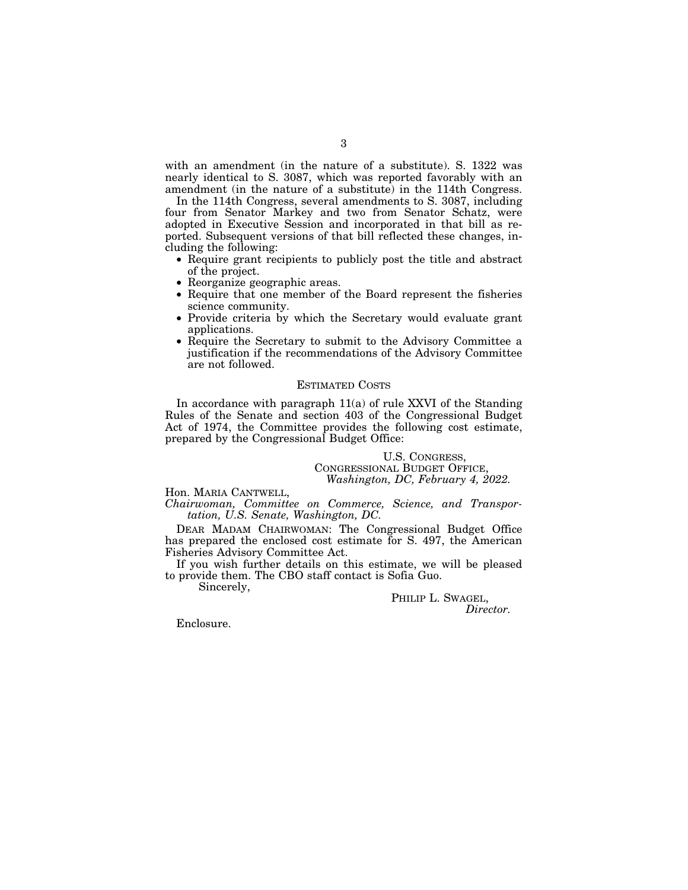with an amendment (in the nature of a substitute). S. 1322 was nearly identical to S. 3087, which was reported favorably with an amendment (in the nature of a substitute) in the 114th Congress.

In the 114th Congress, several amendments to S. 3087, including four from Senator Markey and two from Senator Schatz, were adopted in Executive Session and incorporated in that bill as reported. Subsequent versions of that bill reflected these changes, including the following:

- Require grant recipients to publicly post the title and abstract of the project.
- Reorganize geographic areas.
- Require that one member of the Board represent the fisheries science community.
- Provide criteria by which the Secretary would evaluate grant applications.
- Require the Secretary to submit to the Advisory Committee a justification if the recommendations of the Advisory Committee are not followed.

#### ESTIMATED COSTS

In accordance with paragraph 11(a) of rule XXVI of the Standing Rules of the Senate and section 403 of the Congressional Budget Act of 1974, the Committee provides the following cost estimate, prepared by the Congressional Budget Office:

U.S. CONGRESS, CONGRESSIONAL BUDGET OFFICE, *Washington, DC, February 4, 2022.* 

Hon. MARIA CANTWELL, *Chairwoman, Committee on Commerce, Science, and Transportation, U.S. Senate, Washington, DC.* 

DEAR MADAM CHAIRWOMAN: The Congressional Budget Office has prepared the enclosed cost estimate for S. 497, the American Fisheries Advisory Committee Act.

If you wish further details on this estimate, we will be pleased to provide them. The CBO staff contact is Sofia Guo.

Sincerely,

PHILIP L. SWAGEL, *Director.* 

Enclosure.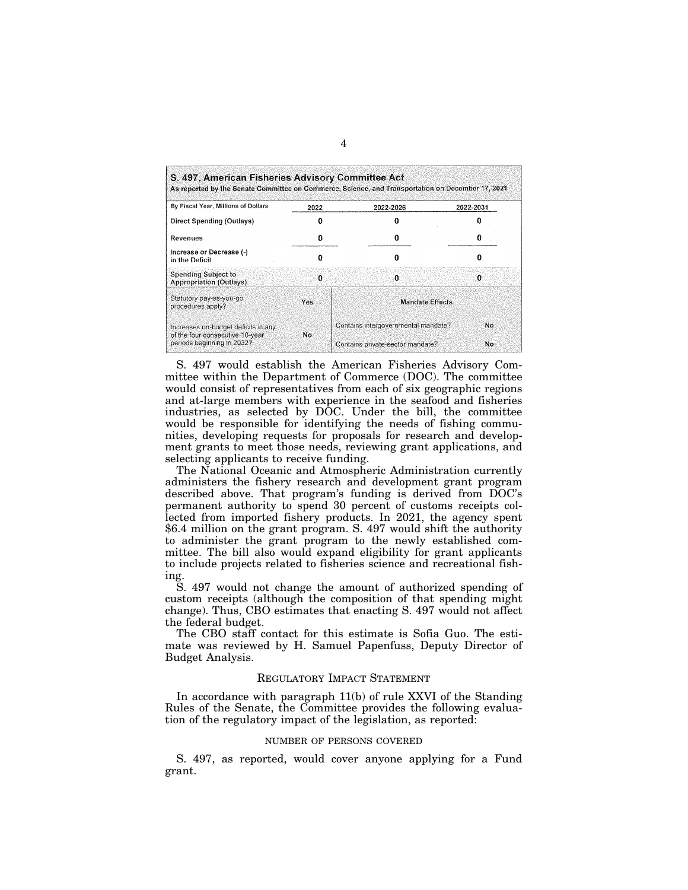| By Fiscal Year, Millions of Dollars                           | 2022 | 2022-2026                           | 2022-2031 |
|---------------------------------------------------------------|------|-------------------------------------|-----------|
| Direct Spending (Outlays)                                     |      |                                     |           |
| Revenues                                                      |      |                                     |           |
| Increase or Decrease (-)<br>in the Deficit                    | n    | ŋ                                   |           |
| Spending Subject to<br><b>Appropriation (Outlays)</b>         | n    | n                                   | o         |
| Statutory pay-as-you-go<br>procedures apply?                  | Yes  | <b>Mandate Effects</b>              |           |
| Increases on-budget deficits in any.                          |      | Contains intergovernmental mandate? | Nο        |
| of the four consecutive 10-year<br>periods beginning in 2032? | No.  | Contains private-sector mandate?    | No.       |

S. 497 would establish the American Fisheries Advisory Committee within the Department of Commerce (DOC). The committee would consist of representatives from each of six geographic regions and at-large members with experience in the seafood and fisheries industries, as selected by DOC. Under the bill, the committee would be responsible for identifying the needs of fishing communities, developing requests for proposals for research and development grants to meet those needs, reviewing grant applications, and selecting applicants to receive funding.

The National Oceanic and Atmospheric Administration currently administers the fishery research and development grant program described above. That program's funding is derived from DOC's permanent authority to spend 30 percent of customs receipts collected from imported fishery products. In 2021, the agency spent \$6.4 million on the grant program. S. 497 would shift the authority to administer the grant program to the newly established committee. The bill also would expand eligibility for grant applicants to include projects related to fisheries science and recreational fishing.

S. 497 would not change the amount of authorized spending of custom receipts (although the composition of that spending might change). Thus, CBO estimates that enacting S. 497 would not affect the federal budget.

The CBO staff contact for this estimate is Sofia Guo. The estimate was reviewed by H. Samuel Papenfuss, Deputy Director of Budget Analysis.

#### REGULATORY IMPACT STATEMENT

In accordance with paragraph 11(b) of rule XXVI of the Standing Rules of the Senate, the Committee provides the following evaluation of the regulatory impact of the legislation, as reported:

# NUMBER OF PERSONS COVERED

S. 497, as reported, would cover anyone applying for a Fund grant.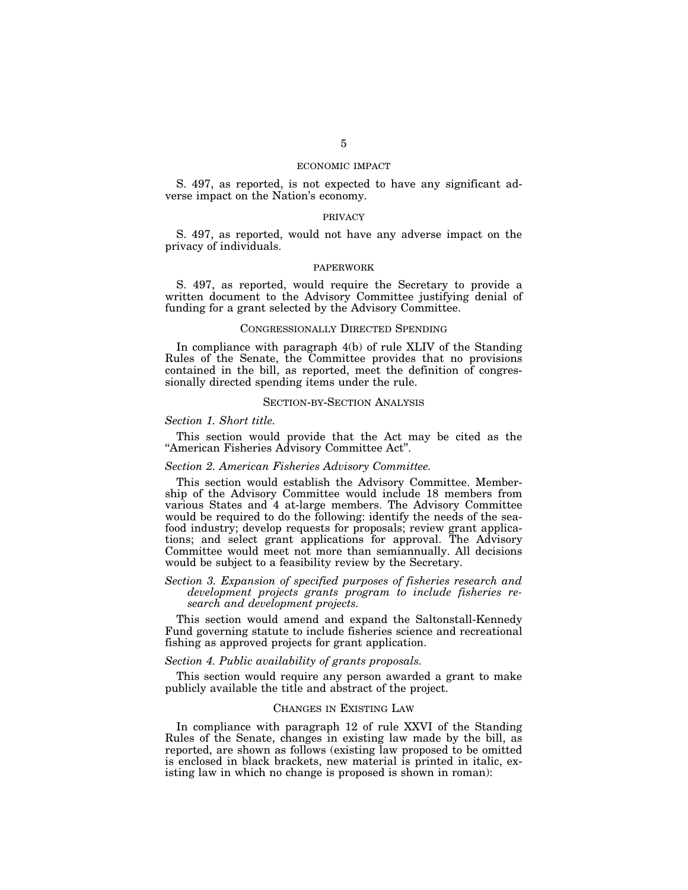# ECONOMIC IMPACT

S. 497, as reported, is not expected to have any significant adverse impact on the Nation's economy.

# PRIVACY

S. 497, as reported, would not have any adverse impact on the privacy of individuals.

## PAPERWORK

S. 497, as reported, would require the Secretary to provide a written document to the Advisory Committee justifying denial of funding for a grant selected by the Advisory Committee.

#### CONGRESSIONALLY DIRECTED SPENDING

In compliance with paragraph 4(b) of rule XLIV of the Standing Rules of the Senate, the Committee provides that no provisions contained in the bill, as reported, meet the definition of congressionally directed spending items under the rule.

#### SECTION-BY-SECTION ANALYSIS

#### *Section 1. Short title.*

This section would provide that the Act may be cited as the ''American Fisheries Advisory Committee Act''.

# *Section 2. American Fisheries Advisory Committee.*

This section would establish the Advisory Committee. Membership of the Advisory Committee would include 18 members from various States and 4 at-large members. The Advisory Committee would be required to do the following: identify the needs of the seafood industry; develop requests for proposals; review grant applications; and select grant applications for approval. The Advisory Committee would meet not more than semiannually. All decisions would be subject to a feasibility review by the Secretary.

# *Section 3. Expansion of specified purposes of fisheries research and development projects grants program to include fisheries research and development projects.*

This section would amend and expand the Saltonstall-Kennedy Fund governing statute to include fisheries science and recreational fishing as approved projects for grant application.

## *Section 4. Public availability of grants proposals.*

This section would require any person awarded a grant to make publicly available the title and abstract of the project.

#### CHANGES IN EXISTING LAW

In compliance with paragraph 12 of rule XXVI of the Standing Rules of the Senate, changes in existing law made by the bill, as reported, are shown as follows (existing law proposed to be omitted is enclosed in black brackets, new material is printed in italic, existing law in which no change is proposed is shown in roman):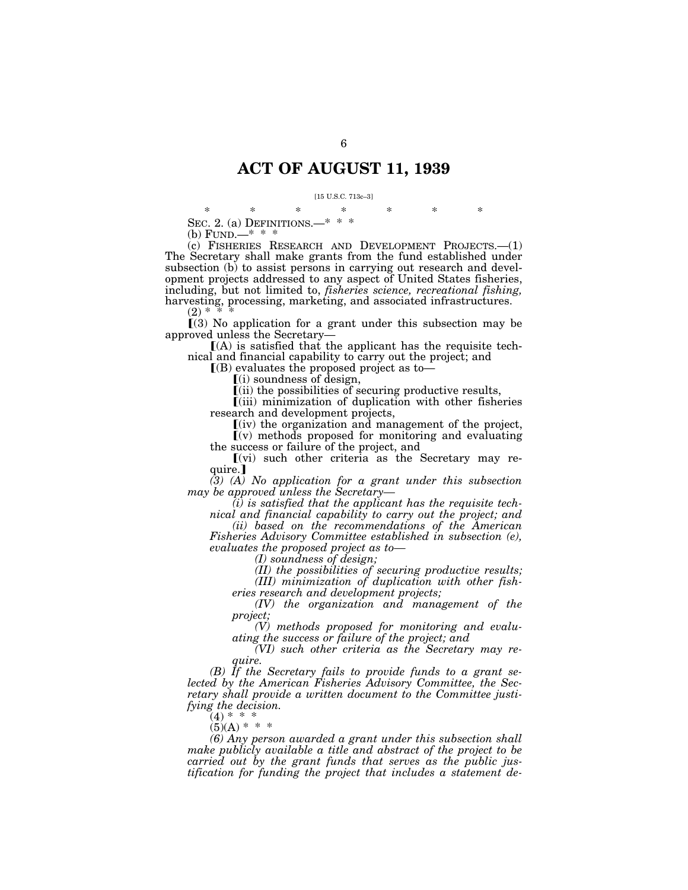# **ACT OF AUGUST 11, 1939**

#### [15 U.S.C. 713c–3]

\* \* \* \* \* \* \* SEC. 2. (a) DEFINITIONS.—\* \* \*

(b) FUND.—\* \* \*

(c) FISHERIES RESEARCH AND DEVELOPMENT PROJECTS.—(1) The Secretary shall make grants from the fund established under subsection (b) to assist persons in carrying out research and development projects addressed to any aspect of United States fisheries, including, but not limited to, *fisheries science, recreational fishing,*  harvesting, processing, marketing, and associated infrastructures.

 $(2) * * * *$ 

 $(3)$  No application for a grant under this subsection may be approved unless the Secretary—

 $(A)$  is satisfied that the applicant has the requisite technical and financial capability to carry out the project; and

 $($ B) evaluates the proposed project as to $-$ 

 $(i)$  soundness of design,

 $\tilde{f}$ (ii) the possibilities of securing productive results,

 $(iii)$  minimization of duplication with other fisheries research and development projects,

 $\left[$ (iv) the organization and management of the project,  $\mathbf{v}(v)$  methods proposed for monitoring and evaluating

the success or failure of the project, and  $(vi)$  such other criteria as the Secretary may re-

quire.]

*(3) (A) No application for a grant under this subsection may be approved unless the Secretary—* 

*(i) is satisfied that the applicant has the requisite technical and financial capability to carry out the project; and* 

*(ii) based on the recommendations of the American Fisheries Advisory Committee established in subsection (e), evaluates the proposed project as to—* 

*(I) soundness of design;* 

*(II) the possibilities of securing productive results; (III) minimization of duplication with other fish-*

*eries research and development projects;* 

*(IV) the organization and management of the project;* 

*(V) methods proposed for monitoring and evaluating the success or failure of the project; and* 

*(VI) such other criteria as the Secretary may require.* 

*(B) If the Secretary fails to provide funds to a grant selected by the American Fisheries Advisory Committee, the Secretary shall provide a written document to the Committee justifying the decision.* 

 $(4) * * * *$ 

 $(5)(A) * * * *$ 

*(6) Any person awarded a grant under this subsection shall make publicly available a title and abstract of the project to be carried out by the grant funds that serves as the public justification for funding the project that includes a statement de-*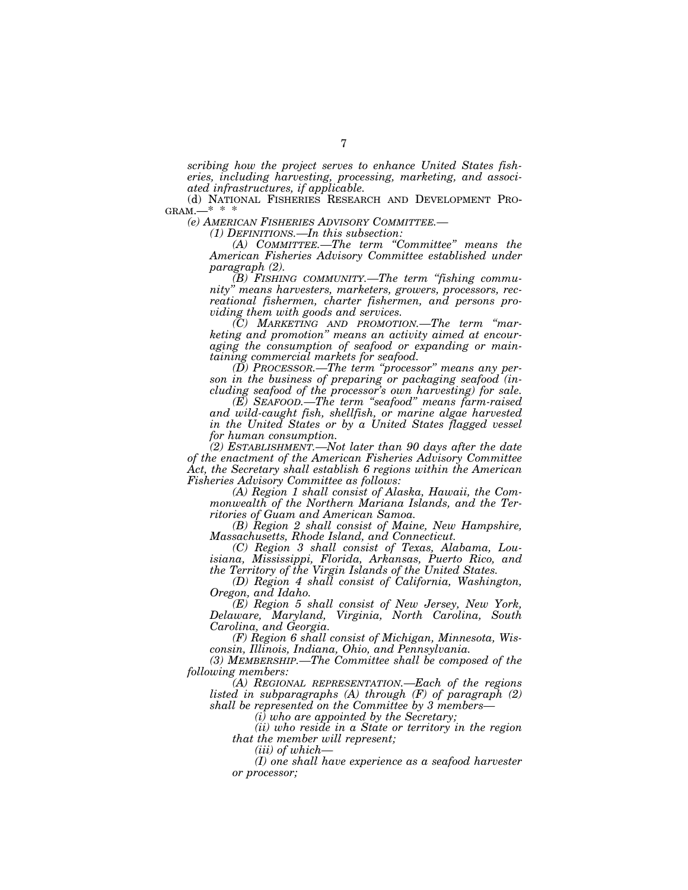*scribing how the project serves to enhance United States fisheries, including harvesting, processing, marketing, and associated infrastructures, if applicable.* 

(d) NATIONAL FISHERIES RESEARCH AND DEVELOPMENT PRO-GRAM.—\* \* \*

*(e) AMERICAN FISHERIES ADVISORY COMMITTEE.— (1) DEFINITIONS.—In this subsection:* 

*(A) COMMITTEE.—The term ''Committee'' means the American Fisheries Advisory Committee established under paragraph (2).* 

*(B) FISHING COMMUNITY.—The term ''fishing community'' means harvesters, marketers, growers, processors, recreational fishermen, charter fishermen, and persons providing them with goods and services.* 

*(C) MARKETING AND PROMOTION.—The term ''marketing and promotion'' means an activity aimed at encouraging the consumption of seafood or expanding or maintaining commercial markets for seafood.* 

*(D) PROCESSOR.—The term ''processor'' means any person in the business of preparing or packaging seafood (including seafood of the processor's own harvesting) for sale.* 

*(E) SEAFOOD.—The term ''seafood'' means farm-raised and wild-caught fish, shellfish, or marine algae harvested in the United States or by a United States flagged vessel for human consumption.* 

*(2) ESTABLISHMENT.—Not later than 90 days after the date of the enactment of the American Fisheries Advisory Committee Act, the Secretary shall establish 6 regions within the American Fisheries Advisory Committee as follows:* 

*(A) Region 1 shall consist of Alaska, Hawaii, the Commonwealth of the Northern Mariana Islands, and the Territories of Guam and American Samoa.* 

*(B) Region 2 shall consist of Maine, New Hampshire, Massachusetts, Rhode Island, and Connecticut.* 

*(C) Region 3 shall consist of Texas, Alabama, Louisiana, Mississippi, Florida, Arkansas, Puerto Rico, and the Territory of the Virgin Islands of the United States.* 

*(D) Region 4 shall consist of California, Washington, Oregon, and Idaho.* 

*(E) Region 5 shall consist of New Jersey, New York, Delaware, Maryland, Virginia, North Carolina, South Carolina, and Georgia.* 

*(F) Region 6 shall consist of Michigan, Minnesota, Wisconsin, Illinois, Indiana, Ohio, and Pennsylvania.* 

*(3) MEMBERSHIP.—The Committee shall be composed of the following members:* 

*(A) REGIONAL REPRESENTATION.—Each of the regions listed in subparagraphs (A) through (F) of paragraph (2) shall be represented on the Committee by 3 members—* 

*(i) who are appointed by the Secretary;* 

*(ii) who reside in a State or territory in the region that the member will represent;* 

*(iii) of which—* 

*(I) one shall have experience as a seafood harvester or processor;*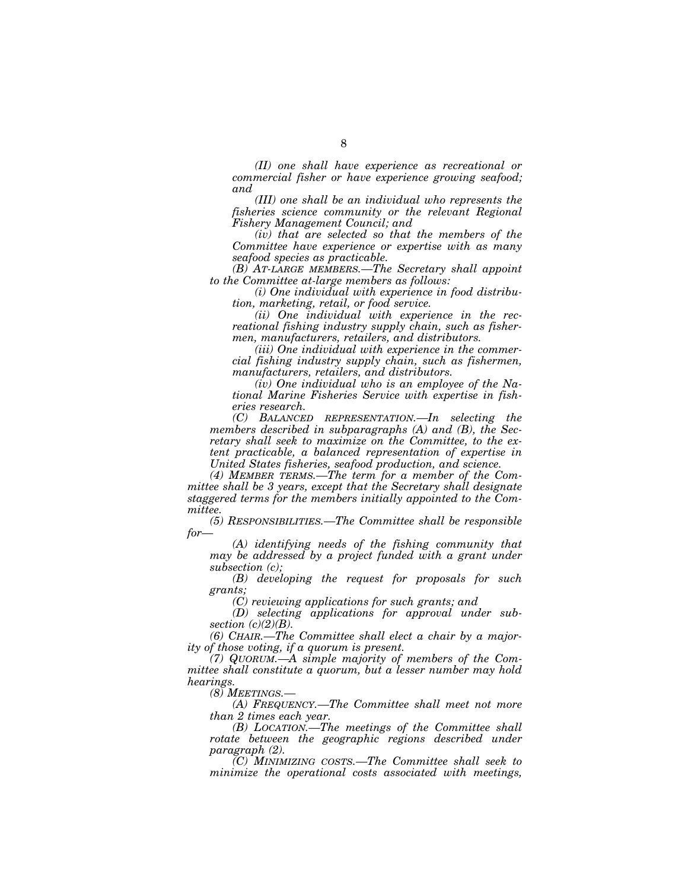*(II) one shall have experience as recreational or commercial fisher or have experience growing seafood; and* 

*(III) one shall be an individual who represents the fisheries science community or the relevant Regional Fishery Management Council; and* 

*(iv) that are selected so that the members of the Committee have experience or expertise with as many seafood species as practicable.* 

*(B) AT-LARGE MEMBERS.—The Secretary shall appoint to the Committee at-large members as follows:* 

*(i) One individual with experience in food distribution, marketing, retail, or food service.* 

*(ii) One individual with experience in the recreational fishing industry supply chain, such as fishermen, manufacturers, retailers, and distributors.* 

*(iii) One individual with experience in the commercial fishing industry supply chain, such as fishermen, manufacturers, retailers, and distributors.* 

*(iv) One individual who is an employee of the National Marine Fisheries Service with expertise in fisheries research.* 

*(C) BALANCED REPRESENTATION.—In selecting the members described in subparagraphs (A) and (B), the Secretary shall seek to maximize on the Committee, to the extent practicable, a balanced representation of expertise in United States fisheries, seafood production, and science.* 

*(4) MEMBER TERMS.—The term for a member of the Committee shall be 3 years, except that the Secretary shall designate staggered terms for the members initially appointed to the Committee.* 

*(5) RESPONSIBILITIES.—The Committee shall be responsible for—* 

*(A) identifying needs of the fishing community that may be addressed by a project funded with a grant under subsection (c);* 

*(B) developing the request for proposals for such grants;* 

*(C) reviewing applications for such grants; and* 

*(D) selecting applications for approval under subsection (c)(2)(B).* 

*(6) CHAIR.—The Committee shall elect a chair by a majority of those voting, if a quorum is present.* 

*(7) QUORUM.—A simple majority of members of the Committee shall constitute a quorum, but a lesser number may hold hearings.* 

*(8) MEETINGS.—* 

*(A) FREQUENCY.—The Committee shall meet not more than 2 times each year.* 

*(B) LOCATION.—The meetings of the Committee shall rotate between the geographic regions described under paragraph (2).* 

*(C) MINIMIZING COSTS.—The Committee shall seek to minimize the operational costs associated with meetings,*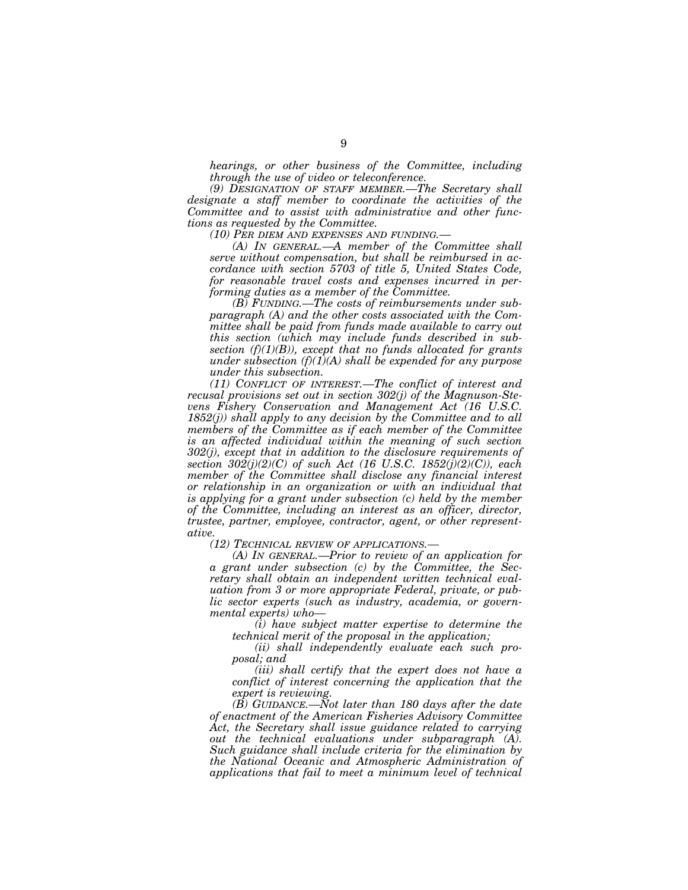*hearings, or other business of the Committee, including through the use of video or teleconference.* 

*(9) DESIGNATION OF STAFF MEMBER.—The Secretary shall designate a staff member to coordinate the activities of the Committee and to assist with administrative and other functions as requested by the Committee.* 

*(10) PER DIEM AND EXPENSES AND FUNDING.—* 

*(A) IN GENERAL.—A member of the Committee shall serve without compensation, but shall be reimbursed in accordance with section 5703 of title 5, United States Code, for reasonable travel costs and expenses incurred in performing duties as a member of the Committee.* 

*(B) FUNDING.—The costs of reimbursements under subparagraph (A) and the other costs associated with the Committee shall be paid from funds made available to carry out this section (which may include funds described in subsection (f)(1)(B)), except that no funds allocated for grants under subsection (f)(1)(A) shall be expended for any purpose under this subsection.* 

*(11) CONFLICT OF INTEREST.—The conflict of interest and recusal provisions set out in section 302(j) of the Magnuson-Stevens Fishery Conservation and Management Act (16 U.S.C. 1852(j)) shall apply to any decision by the Committee and to all members of the Committee as if each member of the Committee is an affected individual within the meaning of such section 302(j), except that in addition to the disclosure requirements of section 302(j)(2)(C) of such Act (16 U.S.C. 1852(j)(2)(C)), each member of the Committee shall disclose any financial interest or relationship in an organization or with an individual that is applying for a grant under subsection (c) held by the member of the Committee, including an interest as an officer, director, trustee, partner, employee, contractor, agent, or other representative.* 

*(12) TECHNICAL REVIEW OF APPLICATIONS.—* 

*(A) IN GENERAL.—Prior to review of an application for a grant under subsection (c) by the Committee, the Secretary shall obtain an independent written technical evaluation from 3 or more appropriate Federal, private, or public sector experts (such as industry, academia, or governmental experts) who—* 

*(i) have subject matter expertise to determine the technical merit of the proposal in the application;* 

*(ii) shall independently evaluate each such proposal; and* 

*(iii) shall certify that the expert does not have a conflict of interest concerning the application that the expert is reviewing.* 

*(B) GUIDANCE.—Not later than 180 days after the date of enactment of the American Fisheries Advisory Committee Act, the Secretary shall issue guidance related to carrying out the technical evaluations under subparagraph (A). Such guidance shall include criteria for the elimination by the National Oceanic and Atmospheric Administration of applications that fail to meet a minimum level of technical*